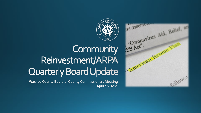

## Community Reinvestment/ARPA **Quarterly Board Update**

Washoe County Board of County Commissioners Meeting April 26, 2022

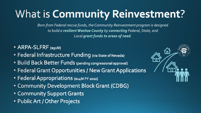# What is Community Reinvestment?

Born from Federal rescue funds, the Community Reinvestment program is designed to build a resilient Washoe County by connecting Federal, State, and Local grant funds to areas of need.

- ARPA-SLFRF (\$91M)
- Federal Infrastructure Funding (via State of Nevada)
- Build Back Better Funds (pending congressional approval)
- Federal Grant Opportunities / New Grant Applications
- · Federal Appropriations (\$14M FY 2022)
- Community Development Block Grant (CDBG)
- Community Support Grants
- · Public Art / Other Projects

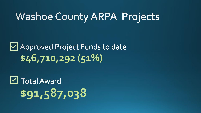### **Washoe County ARPA Projects**

### Mapproved Project Funds to date **\$46,710,292 (51%)**

# $\boxtimes$  Total Award **\$91,587,038**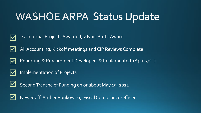## **WASHOE ARPA Status Update**









Implementation of Projects



Second Tranche of Funding on or about May 19, 2022



New Staff Amber Bunkowski, Fiscal Compliance Officer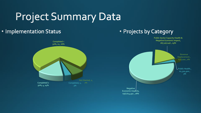# **Project Summary Data**

### • Implementation Status



### • Projects by Category

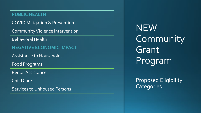#### **PUBLIC HEALTH**

COVID Mitigation & Prevention

Community Violence Intervention

Behavioral Health

**NEGATIVE ECONOMIC IMPACT**

Assistance to Households

Food Programs

Rental Assistance

Child Care

Services to Unhoused Persons

NEW Community Grant Program

**Proposed Eligibility Categories**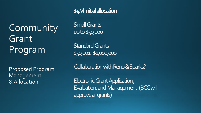Community Grant Program

Proposed Program Management &Allocation

\$4M initial allocation

Small Grants up to \$50,000

**Standard Grants** \$50,001 -\$1,000,000

Collaboration with Reno & Sparks?

Electronic Grant Application, Evaluation, and Management (BCC will approve all grants)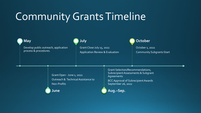## Community Grants Timeline

#### **May**

Develop public outreach, application process & procedures.

#### **July**

Grant Close July 15, 2022 Application Review & Evaluation

#### **October**

October 1, 2022 Community Subgrants Start

Grant Open -June 1, 2022 Outreach & Technical Assistance to Non-Profits

**June**

Grant Selection/Recommendations, Subrecipient Assessments & Subgrant Agreements

BCC Approval of Subrecipient Awards September 26, 2022

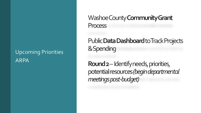### Upcoming Priorities ARPA

Washoe County **Community Grant** Process

Public **Data Dashboard** to Track Projects & Spending

**Round 2**– Identify needs, priorities, potential resources *(begin departmental meetings post-budget)*